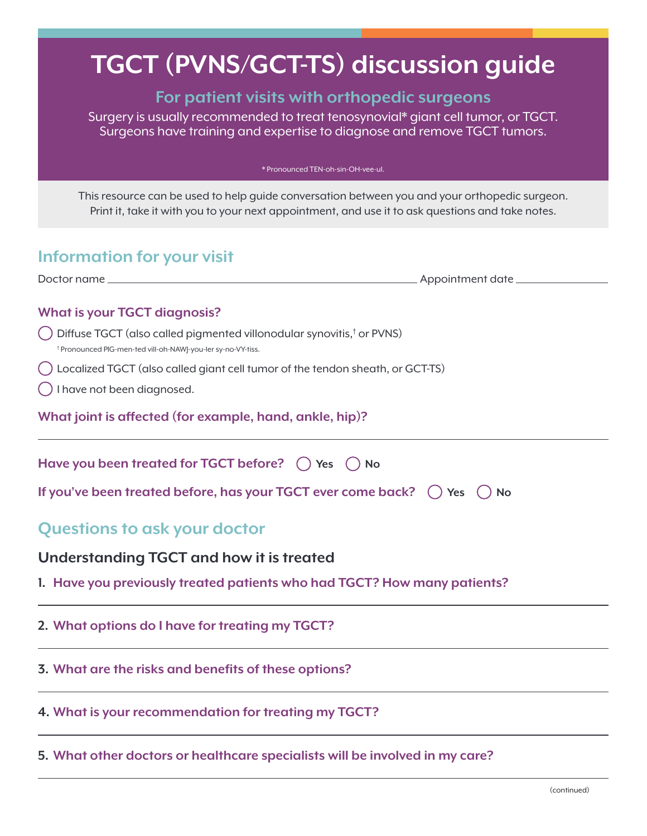# **TGCT (PVNS/GCT-TS) discussion guide**

## **For patient visits with orthopedic surgeons**

Surgery is usually recommended to treat tenosynovial\* giant cell tumor, or TGCT. Surgeons have training and expertise to diagnose and remove TGCT tumors.

\* Pronounced TEN-oh-sin-OH-vee-ul.

This resource can be used to help guide conversation between you and your orthopedic surgeon. Print it, take it with you to your next appointment, and use it to ask questions and take notes.

# **Information for your visit**

Doctor name Appointment date **What is your TGCT diagnosis?**

Diffuse TGCT (also called pigmented villonodular synovitis,<sup>†</sup> or PVNS)<br><sup>† Propounced PIG men tot vill ob NAMLYou let av po VY tiss</sup> Pronounced PIG-men-ted vill-oh-NAWJ-you-ler sy-no-VY-tiss.

- Localized TGCT (also called giant cell tumor of the tendon sheath, or GCT-TS)
- I have not been diagnosed.

**What joint is affected (for example, hand, ankle, hip)?**

| Have you been treated for TGCT before? $\bigcap$ Yes $\bigcap$ No                       |
|-----------------------------------------------------------------------------------------|
| If you've been treated before, has your TGCT ever come back? $\bigcap$ Yes $\bigcap$ No |
| <b>Questions to ask your doctor</b>                                                     |
| Understanding TGCT and how it is treated                                                |
| 1. Have you previously treated patients who had TGCT? How many patients?                |
| 2. What options do I have for treating my TGCT?                                         |
|                                                                                         |

**4. What is your recommendation for treating my TGCT?**

**3. What are the risks and benefits of these options?**

**5. What other doctors or healthcare specialists will be involved in my care?**